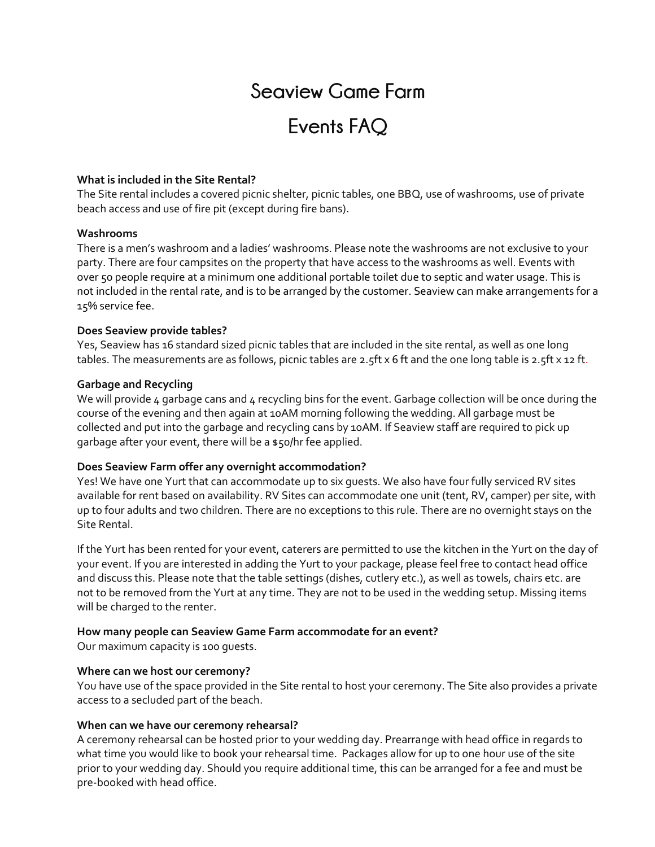# **Seaview Game Farm**

# **Events FAQ**

#### **What is included in the Site Rental?**

The Site rental includes a covered picnic shelter, picnic tables, one BBQ, use of washrooms, use of private beach access and use of fire pit (except during fire bans).

#### **Washrooms**

There is a men's washroom and a ladies' washrooms. Please note the washrooms are not exclusive to your party. There are four campsites on the property that have access to the washrooms as well. Events with over 50 people require at a minimum one additional portable toilet due to septic and water usage. This is not included in the rental rate, and is to be arranged by the customer. Seaview can make arrangements for a 15% service fee.

#### **Does Seaview provide tables?**

Yes, Seaview has 16 standard sized picnic tables that are included in the site rental, as well as one long tables. The measurements are as follows, picnic tables are 2.5ft x 6 ft and the one long table is 2.5ft x 12 ft.

#### **Garbage and Recycling**

We will provide 4 garbage cans and  $4$  recycling bins for the event. Garbage collection will be once during the course of the evening and then again at 10AM morning following the wedding. All garbage must be collected and put into the garbage and recycling cans by 10AM. If Seaview staff are required to pick up garbage after your event, there will be a \$50/hr fee applied.

# **Does Seaview Farm offer any overnight accommodation?**

Yes! We have one Yurt that can accommodate up to six guests. We also have four fully serviced RV sites available for rent based on availability. RV Sites can accommodate one unit (tent, RV, camper) per site, with up to four adults and two children. There are no exceptions to this rule. There are no overnight stays on the Site Rental.

If the Yurt has been rented for your event, caterers are permitted to use the kitchen in the Yurt on the day of your event. If you are interested in adding the Yurt to your package, please feel free to contact head office and discuss this. Please note that the table settings (dishes, cutlery etc.), as well as towels, chairs etc. are not to be removed from the Yurt at any time. They are not to be used in the wedding setup. Missing items will be charged to the renter.

# **How many people can Seaview Game Farm accommodate for an event?**

Our maximum capacity is 100 guests.

#### **Where can we host our ceremony?**

You have use of the space provided in the Site rental to host your ceremony. The Site also provides a private access to a secluded part of the beach.

#### **When can we have our ceremony rehearsal?**

A ceremony rehearsal can be hosted prior to your wedding day. Prearrange with head office in regards to what time you would like to book your rehearsal time. Packages allow for up to one hour use of the site prior to your wedding day. Should you require additional time, this can be arranged for a fee and must be pre-booked with head office.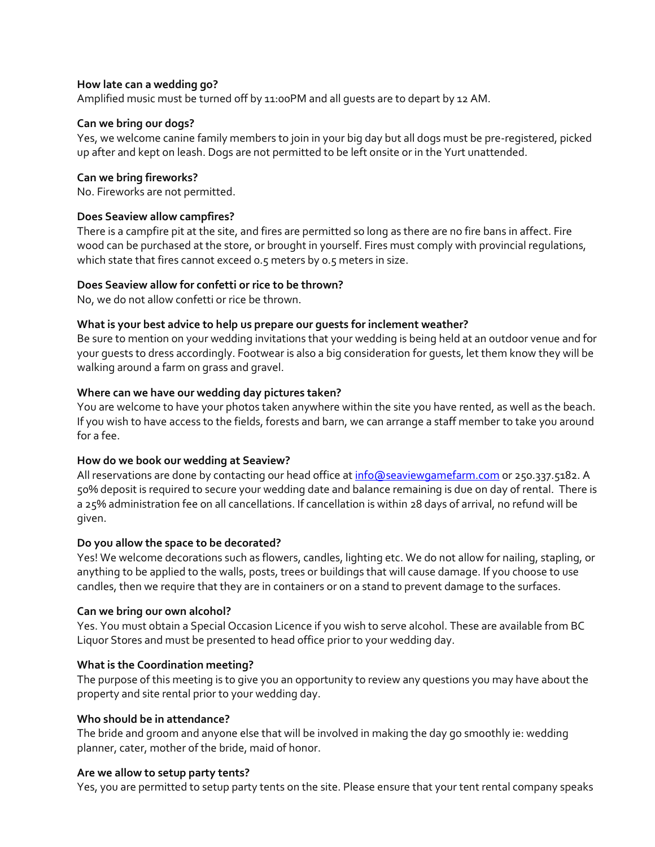#### **How late can a wedding go?**

Amplified music must be turned off by 11:00PM and all guests are to depart by 12 AM.

#### **Can we bring our dogs?**

Yes, we welcome canine family members to join in your big day but all dogs must be pre-registered, picked up after and kept on leash. Dogs are not permitted to be left onsite or in the Yurt unattended.

#### **Can we bring fireworks?**

No. Fireworks are not permitted.

# **Does Seaview allow campfires?**

There is a campfire pit at the site, and fires are permitted so long as there are no fire bans in affect. Fire wood can be purchased at the store, or brought in yourself. Fires must comply with provincial regulations, which state that fires cannot exceed 0.5 meters by 0.5 meters in size.

# **Does Seaview allow for confetti or rice to be thrown?**

No, we do not allow confetti or rice be thrown.

# **What is your best advice to help us prepare our guests for inclement weather?**

Be sure to mention on your wedding invitations that your wedding is being held at an outdoor venue and for your guests to dress accordingly. Footwear is also a big consideration for guests, let them know they will be walking around a farm on grass and gravel.

# **Where can we have our wedding day pictures taken?**

You are welcome to have your photos taken anywhere within the site you have rented, as well as the beach. If you wish to have access to the fields, forests and barn, we can arrange a staff member to take you around for a fee.

# **How do we book our wedding at Seaview?**

All reservations are done by contacting our head office at info@seaviewgamefarm.com or 250.337.5182. A 50% deposit is required to secure your wedding date and balance remaining is due on day of rental. There is a 25% administration fee on all cancellations. If cancellation is within 28 days of arrival, no refund will be given.

# **Do you allow the space to be decorated?**

Yes! We welcome decorations such as flowers, candles, lighting etc. We do not allow for nailing, stapling, or anything to be applied to the walls, posts, trees or buildings that will cause damage. If you choose to use candles, then we require that they are in containers or on a stand to prevent damage to the surfaces.

# **Can we bring our own alcohol?**

Yes. You must obtain a Special Occasion Licence if you wish to serve alcohol. These are available from BC Liquor Stores and must be presented to head office prior to your wedding day.

# **What is the Coordination meeting?**

The purpose of this meeting is to give you an opportunity to review any questions you may have about the property and site rental prior to your wedding day.

#### **Who should be in attendance?**

The bride and groom and anyone else that will be involved in making the day go smoothly ie: wedding planner, cater, mother of the bride, maid of honor.

#### **Are we allow to setup party tents?**

Yes, you are permitted to setup party tents on the site. Please ensure that your tent rental company speaks